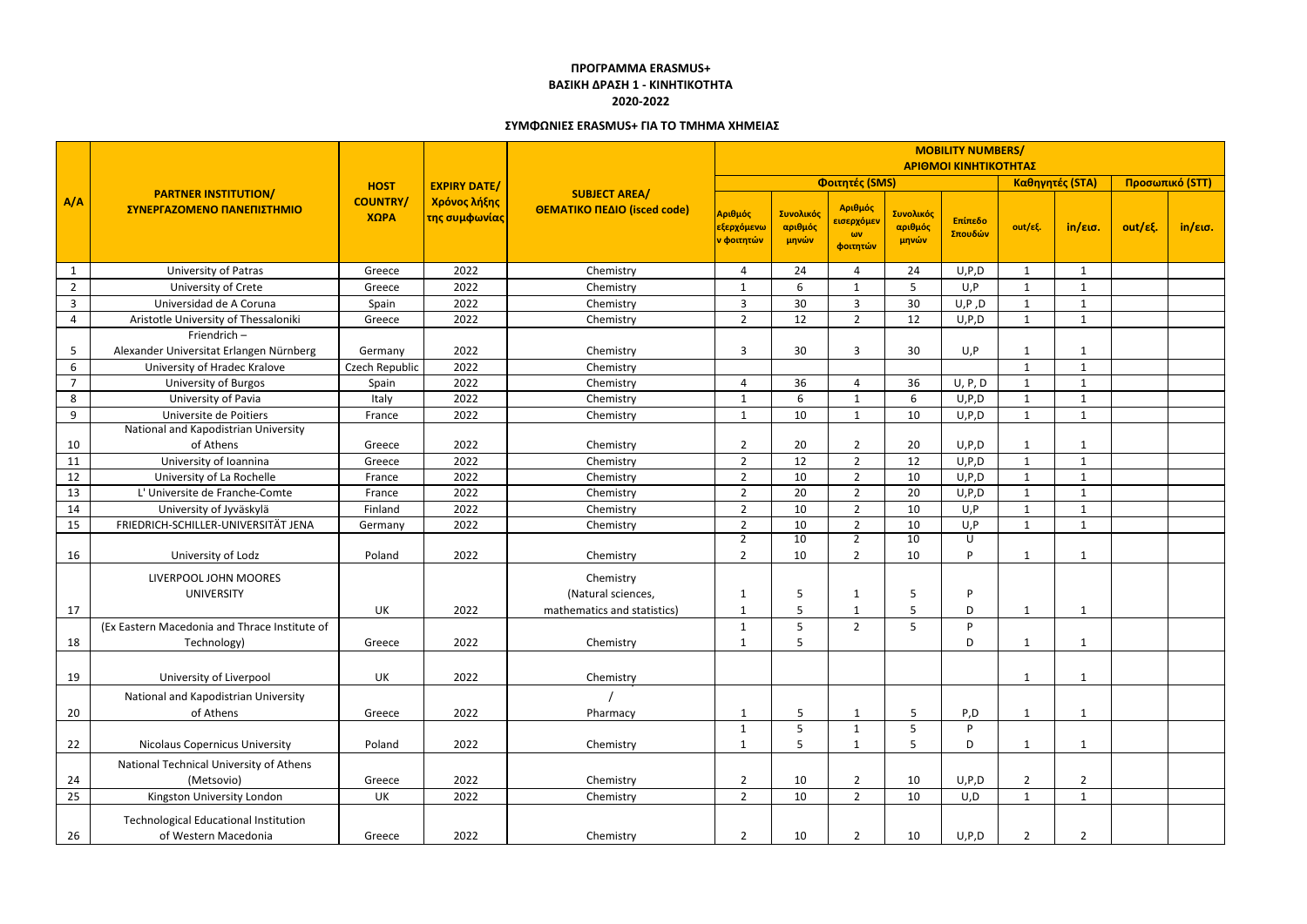| Φοιτητές (SMS)<br>Καθηγητές (STA)<br><b>HOST</b><br><b>EXPIRY DATE/</b><br><b>PARTNER INSTITUTION/</b><br><b>SUBJECT AREA/</b><br>A/A<br><b>COUNTRY/</b><br>Χρόνος λήξης<br>Αριθμός<br>ΘΕΜΑΤΙΚΟ ΠΕΔΙΟ (isced code)<br>ΣΥΝΕΡΓΑΖΟΜΕΝΟ ΠΑΝΕΠΙΣΤΗΜΙΟ<br>Συνολικός<br>Συνολικός<br>Αριθμός<br>ΧΩΡΑ<br>της συμφωνίας<br>εισερχόμεν<br>Επίπεδο<br>εξερχόμενω<br>αριθμός<br>αριθμός<br>out/εξ.<br>$in/\epsilon$ ισ.<br>out/εξ.<br>Σπουδών<br>$\omega v$<br><mark>ν φοιτητών</mark><br>μηνών<br>μηνών<br>φοιτητών<br>University of Patras<br>2022<br>Chemistry<br>24<br>24<br>U, P, D<br>$\mathbf{1}$<br>Greece<br>4<br>$\mathbf{1}$<br>4<br>1<br>$\overline{2}$<br>University of Crete<br>2022<br>6<br>5 <sup>1</sup><br>U, P<br>Chemistry<br>1<br>$\mathbf{1}$<br>$\mathbf{1}$<br>Greece<br>-1<br>$\overline{3}$<br>Universidad de A Coruna<br>2022<br>30<br>30<br>U, P, D<br>3<br>3<br>Chemistry<br>Spain<br>$\mathbf{1}$<br>Aristotle University of Thessaloniki<br>2022<br>$\overline{2}$<br>$\overline{2}$<br>12<br>$\overline{4}$<br>12<br>U, P, D<br>Greece<br>Chemistry<br>$\mathbf{1}$<br>$\mathbf{1}$<br>Friendrich-<br>5<br>Alexander Universitat Erlangen Nürnberg<br>2022<br>3<br>30<br>30<br>U, P<br>Germany<br>Chemistry<br>3<br>1<br>6<br>University of Hradec Kralove<br>2022<br>Czech Republic<br>Chemistry<br>$\mathbf{1}$<br>$\mathbf{1}$<br>$\overline{7}$<br><b>University of Burgos</b><br>2022<br>36<br>36<br>U, P, D<br>Chemistry<br>$\mathbf{1}$<br>4<br>4<br>Spain<br>-1<br>8<br>University of Pavia<br>2022<br>6<br>Italy<br>Chemistry<br>6<br>U, P, D<br>$\mathbf{1}$<br>1<br>$\mathbf{1}$<br>9<br>Universite de Poitiers<br>10<br>10<br>2022<br>U, P, D<br>France<br>Chemistry<br>$\mathbf{1}$<br>$\mathbf{1}$<br>$\mathbf{1}$<br>1<br>National and Kapodistrian University<br>of Athens<br>2022<br>$\overline{2}$<br>20<br>20<br>U, P, D<br>10<br>Chemistry<br>$\overline{2}$<br>Greece<br>$\mathbf{1}$<br>1<br>2022<br>11<br>University of Ioannina<br>$\overline{2}$<br>12<br>$\overline{2}$<br>12<br>U, P, D<br>Chemistry<br>$\mathbf{1}$<br>Greece<br>$\mathbf 1$<br>12<br>$\overline{2}$<br>University of La Rochelle<br>2022<br>10<br>$\overline{2}$<br>10<br>U, P, D<br>Chemistry<br>$\mathbf{1}$<br>France<br>13<br>L' Universite de Franche-Comte<br>2022<br>$\overline{2}$<br>20<br>$\overline{2}$<br>20<br>U, P, D<br>Chemistry<br>$\mathbf{1}$<br>France<br>$\mathbf{1}$<br>14<br>University of Jyväskylä<br>$\overline{2}$<br>10<br>$\overline{2}$<br>10<br>Finland<br>2022<br>U,P<br>1<br>Chemistry<br>-1<br>15<br>FRIEDRICH-SCHILLER-UNIVERSITÄT JENA<br>2022<br>$\overline{2}$<br>10<br>$\overline{2}$<br>10<br>U, P<br>Chemistry<br>Germany<br>$\mathbf 1$<br>-1<br>10<br>$\overline{2}$<br>10<br>$\sf U$<br>$\overline{2}$<br>$\overline{2}$<br>10<br>$\overline{2}$<br>10<br>2022<br>D<br>16<br>University of Lodz<br>Poland<br>Chemistry<br>$\mathbf 1$<br>-1<br>LIVERPOOL JOHN MOORES<br>Chemistry<br><b>UNIVERSITY</b><br>(Natural sciences,<br>P<br>5<br>-1<br>1<br>2022<br>mathematics and statistics)<br>17<br>UK<br>5<br>5<br>D<br>1<br>1<br>$\mathbf{1}$<br>1<br>(Ex Eastern Macedonia and Thrace Institute of<br>Б<br>$\mathcal{D}$<br>D<br>Technology)<br>2022<br>Chemistry<br>5<br>D<br>18<br>Greece<br>$\mathbf{1}$<br>$\mathbf{1}$<br>1<br>UK<br>2022<br>Chemistry<br>19<br>University of Liverpool<br>$\mathbf{1}$<br>National and Kapodistrian University<br>of Athens<br>2022<br>Pharmacy<br>P, D<br>$\mathbf{1}$<br>20<br>Greece<br>5<br>5<br>$\mathbf{1}$<br>$\mathbf{1}$<br>$\mathbf{1}$<br>5<br>5<br>P<br>1<br>$\mathbf{1}$<br>22<br><b>Nicolaus Copernicus University</b><br>Poland<br>2022<br>5<br>5<br>D<br>Chemistry<br>$\mathbf{1}$<br>1<br>1<br>1<br>National Technical University of Athens<br>(Metsovio)<br>Chemistry<br>$\overline{2}$<br>2022<br>10<br>$\overline{2}$<br>10<br>U, P, D<br>$\overline{2}$<br>24<br>Greece<br>$\overline{2}$<br>25<br>2022<br>$\overline{2}$<br>10<br>$\overline{2}$<br>10<br>Kingston University London<br>UK<br>U, D<br>$\mathbf{1}$<br>Chemistry<br>$\mathbf{1}$<br><b>Technological Educational Institution</b> |    |                      |        |      |           | <b>MOBILITY NUMBERS/</b><br>ΑΡΙΘΜΟΙ ΚΙΝΗΤΙΚΟΤΗΤΑΣ |    |                |    |         |                |                |                 |                   |
|---------------------------------------------------------------------------------------------------------------------------------------------------------------------------------------------------------------------------------------------------------------------------------------------------------------------------------------------------------------------------------------------------------------------------------------------------------------------------------------------------------------------------------------------------------------------------------------------------------------------------------------------------------------------------------------------------------------------------------------------------------------------------------------------------------------------------------------------------------------------------------------------------------------------------------------------------------------------------------------------------------------------------------------------------------------------------------------------------------------------------------------------------------------------------------------------------------------------------------------------------------------------------------------------------------------------------------------------------------------------------------------------------------------------------------------------------------------------------------------------------------------------------------------------------------------------------------------------------------------------------------------------------------------------------------------------------------------------------------------------------------------------------------------------------------------------------------------------------------------------------------------------------------------------------------------------------------------------------------------------------------------------------------------------------------------------------------------------------------------------------------------------------------------------------------------------------------------------------------------------------------------------------------------------------------------------------------------------------------------------------------------------------------------------------------------------------------------------------------------------------------------------------------------------------------------------------------------------------------------------------------------------------------------------------------------------------------------------------------------------------------------------------------------------------------------------------------------------------------------------------------------------------------------------------------------------------------------------------------------------------------------------------------------------------------------------------------------------------------------------------------------------------------------------------------------------------------------------------------------------------------------------------------------------------------------------------------------------------------------------------------------------------------------------------------------------------------------------------------------------------------------------------------------------------------------------------------------------------------------------------------------------------------------------------------------------------------------------------------------------------------------------------------------------------------------------------------------------------------------------------------------------------------------------------------------------------------------------------------------------------------------------------------------------------------------------------------------------------------------------------|----|----------------------|--------|------|-----------|---------------------------------------------------|----|----------------|----|---------|----------------|----------------|-----------------|-------------------|
|                                                                                                                                                                                                                                                                                                                                                                                                                                                                                                                                                                                                                                                                                                                                                                                                                                                                                                                                                                                                                                                                                                                                                                                                                                                                                                                                                                                                                                                                                                                                                                                                                                                                                                                                                                                                                                                                                                                                                                                                                                                                                                                                                                                                                                                                                                                                                                                                                                                                                                                                                                                                                                                                                                                                                                                                                                                                                                                                                                                                                                                                                                                                                                                                                                                                                                                                                                                                                                                                                                                                                                                                                                                                                                                                                                                                                                                                                                                                                                                                                                                                                                                           |    |                      |        |      |           |                                                   |    |                |    |         |                |                | Προσωπικό (STT) |                   |
|                                                                                                                                                                                                                                                                                                                                                                                                                                                                                                                                                                                                                                                                                                                                                                                                                                                                                                                                                                                                                                                                                                                                                                                                                                                                                                                                                                                                                                                                                                                                                                                                                                                                                                                                                                                                                                                                                                                                                                                                                                                                                                                                                                                                                                                                                                                                                                                                                                                                                                                                                                                                                                                                                                                                                                                                                                                                                                                                                                                                                                                                                                                                                                                                                                                                                                                                                                                                                                                                                                                                                                                                                                                                                                                                                                                                                                                                                                                                                                                                                                                                                                                           |    |                      |        |      |           |                                                   |    |                |    |         |                |                |                 | $in/\epsilon$ ισ. |
|                                                                                                                                                                                                                                                                                                                                                                                                                                                                                                                                                                                                                                                                                                                                                                                                                                                                                                                                                                                                                                                                                                                                                                                                                                                                                                                                                                                                                                                                                                                                                                                                                                                                                                                                                                                                                                                                                                                                                                                                                                                                                                                                                                                                                                                                                                                                                                                                                                                                                                                                                                                                                                                                                                                                                                                                                                                                                                                                                                                                                                                                                                                                                                                                                                                                                                                                                                                                                                                                                                                                                                                                                                                                                                                                                                                                                                                                                                                                                                                                                                                                                                                           |    |                      |        |      |           |                                                   |    |                |    |         |                |                |                 |                   |
|                                                                                                                                                                                                                                                                                                                                                                                                                                                                                                                                                                                                                                                                                                                                                                                                                                                                                                                                                                                                                                                                                                                                                                                                                                                                                                                                                                                                                                                                                                                                                                                                                                                                                                                                                                                                                                                                                                                                                                                                                                                                                                                                                                                                                                                                                                                                                                                                                                                                                                                                                                                                                                                                                                                                                                                                                                                                                                                                                                                                                                                                                                                                                                                                                                                                                                                                                                                                                                                                                                                                                                                                                                                                                                                                                                                                                                                                                                                                                                                                                                                                                                                           |    |                      |        |      |           |                                                   |    |                |    |         |                |                |                 |                   |
|                                                                                                                                                                                                                                                                                                                                                                                                                                                                                                                                                                                                                                                                                                                                                                                                                                                                                                                                                                                                                                                                                                                                                                                                                                                                                                                                                                                                                                                                                                                                                                                                                                                                                                                                                                                                                                                                                                                                                                                                                                                                                                                                                                                                                                                                                                                                                                                                                                                                                                                                                                                                                                                                                                                                                                                                                                                                                                                                                                                                                                                                                                                                                                                                                                                                                                                                                                                                                                                                                                                                                                                                                                                                                                                                                                                                                                                                                                                                                                                                                                                                                                                           |    |                      |        |      |           |                                                   |    |                |    |         |                |                |                 |                   |
|                                                                                                                                                                                                                                                                                                                                                                                                                                                                                                                                                                                                                                                                                                                                                                                                                                                                                                                                                                                                                                                                                                                                                                                                                                                                                                                                                                                                                                                                                                                                                                                                                                                                                                                                                                                                                                                                                                                                                                                                                                                                                                                                                                                                                                                                                                                                                                                                                                                                                                                                                                                                                                                                                                                                                                                                                                                                                                                                                                                                                                                                                                                                                                                                                                                                                                                                                                                                                                                                                                                                                                                                                                                                                                                                                                                                                                                                                                                                                                                                                                                                                                                           |    |                      |        |      |           |                                                   |    |                |    |         |                |                |                 |                   |
|                                                                                                                                                                                                                                                                                                                                                                                                                                                                                                                                                                                                                                                                                                                                                                                                                                                                                                                                                                                                                                                                                                                                                                                                                                                                                                                                                                                                                                                                                                                                                                                                                                                                                                                                                                                                                                                                                                                                                                                                                                                                                                                                                                                                                                                                                                                                                                                                                                                                                                                                                                                                                                                                                                                                                                                                                                                                                                                                                                                                                                                                                                                                                                                                                                                                                                                                                                                                                                                                                                                                                                                                                                                                                                                                                                                                                                                                                                                                                                                                                                                                                                                           |    |                      |        |      |           |                                                   |    |                |    |         |                |                |                 |                   |
|                                                                                                                                                                                                                                                                                                                                                                                                                                                                                                                                                                                                                                                                                                                                                                                                                                                                                                                                                                                                                                                                                                                                                                                                                                                                                                                                                                                                                                                                                                                                                                                                                                                                                                                                                                                                                                                                                                                                                                                                                                                                                                                                                                                                                                                                                                                                                                                                                                                                                                                                                                                                                                                                                                                                                                                                                                                                                                                                                                                                                                                                                                                                                                                                                                                                                                                                                                                                                                                                                                                                                                                                                                                                                                                                                                                                                                                                                                                                                                                                                                                                                                                           |    |                      |        |      |           |                                                   |    |                |    |         |                |                |                 |                   |
|                                                                                                                                                                                                                                                                                                                                                                                                                                                                                                                                                                                                                                                                                                                                                                                                                                                                                                                                                                                                                                                                                                                                                                                                                                                                                                                                                                                                                                                                                                                                                                                                                                                                                                                                                                                                                                                                                                                                                                                                                                                                                                                                                                                                                                                                                                                                                                                                                                                                                                                                                                                                                                                                                                                                                                                                                                                                                                                                                                                                                                                                                                                                                                                                                                                                                                                                                                                                                                                                                                                                                                                                                                                                                                                                                                                                                                                                                                                                                                                                                                                                                                                           |    |                      |        |      |           |                                                   |    |                |    |         |                |                |                 |                   |
|                                                                                                                                                                                                                                                                                                                                                                                                                                                                                                                                                                                                                                                                                                                                                                                                                                                                                                                                                                                                                                                                                                                                                                                                                                                                                                                                                                                                                                                                                                                                                                                                                                                                                                                                                                                                                                                                                                                                                                                                                                                                                                                                                                                                                                                                                                                                                                                                                                                                                                                                                                                                                                                                                                                                                                                                                                                                                                                                                                                                                                                                                                                                                                                                                                                                                                                                                                                                                                                                                                                                                                                                                                                                                                                                                                                                                                                                                                                                                                                                                                                                                                                           |    |                      |        |      |           |                                                   |    |                |    |         |                |                |                 |                   |
|                                                                                                                                                                                                                                                                                                                                                                                                                                                                                                                                                                                                                                                                                                                                                                                                                                                                                                                                                                                                                                                                                                                                                                                                                                                                                                                                                                                                                                                                                                                                                                                                                                                                                                                                                                                                                                                                                                                                                                                                                                                                                                                                                                                                                                                                                                                                                                                                                                                                                                                                                                                                                                                                                                                                                                                                                                                                                                                                                                                                                                                                                                                                                                                                                                                                                                                                                                                                                                                                                                                                                                                                                                                                                                                                                                                                                                                                                                                                                                                                                                                                                                                           |    |                      |        |      |           |                                                   |    |                |    |         |                |                |                 |                   |
|                                                                                                                                                                                                                                                                                                                                                                                                                                                                                                                                                                                                                                                                                                                                                                                                                                                                                                                                                                                                                                                                                                                                                                                                                                                                                                                                                                                                                                                                                                                                                                                                                                                                                                                                                                                                                                                                                                                                                                                                                                                                                                                                                                                                                                                                                                                                                                                                                                                                                                                                                                                                                                                                                                                                                                                                                                                                                                                                                                                                                                                                                                                                                                                                                                                                                                                                                                                                                                                                                                                                                                                                                                                                                                                                                                                                                                                                                                                                                                                                                                                                                                                           |    |                      |        |      |           |                                                   |    |                |    |         |                |                |                 |                   |
|                                                                                                                                                                                                                                                                                                                                                                                                                                                                                                                                                                                                                                                                                                                                                                                                                                                                                                                                                                                                                                                                                                                                                                                                                                                                                                                                                                                                                                                                                                                                                                                                                                                                                                                                                                                                                                                                                                                                                                                                                                                                                                                                                                                                                                                                                                                                                                                                                                                                                                                                                                                                                                                                                                                                                                                                                                                                                                                                                                                                                                                                                                                                                                                                                                                                                                                                                                                                                                                                                                                                                                                                                                                                                                                                                                                                                                                                                                                                                                                                                                                                                                                           |    |                      |        |      |           |                                                   |    |                |    |         |                |                |                 |                   |
|                                                                                                                                                                                                                                                                                                                                                                                                                                                                                                                                                                                                                                                                                                                                                                                                                                                                                                                                                                                                                                                                                                                                                                                                                                                                                                                                                                                                                                                                                                                                                                                                                                                                                                                                                                                                                                                                                                                                                                                                                                                                                                                                                                                                                                                                                                                                                                                                                                                                                                                                                                                                                                                                                                                                                                                                                                                                                                                                                                                                                                                                                                                                                                                                                                                                                                                                                                                                                                                                                                                                                                                                                                                                                                                                                                                                                                                                                                                                                                                                                                                                                                                           |    |                      |        |      |           |                                                   |    |                |    |         |                |                |                 |                   |
|                                                                                                                                                                                                                                                                                                                                                                                                                                                                                                                                                                                                                                                                                                                                                                                                                                                                                                                                                                                                                                                                                                                                                                                                                                                                                                                                                                                                                                                                                                                                                                                                                                                                                                                                                                                                                                                                                                                                                                                                                                                                                                                                                                                                                                                                                                                                                                                                                                                                                                                                                                                                                                                                                                                                                                                                                                                                                                                                                                                                                                                                                                                                                                                                                                                                                                                                                                                                                                                                                                                                                                                                                                                                                                                                                                                                                                                                                                                                                                                                                                                                                                                           |    |                      |        |      |           |                                                   |    |                |    |         |                |                |                 |                   |
|                                                                                                                                                                                                                                                                                                                                                                                                                                                                                                                                                                                                                                                                                                                                                                                                                                                                                                                                                                                                                                                                                                                                                                                                                                                                                                                                                                                                                                                                                                                                                                                                                                                                                                                                                                                                                                                                                                                                                                                                                                                                                                                                                                                                                                                                                                                                                                                                                                                                                                                                                                                                                                                                                                                                                                                                                                                                                                                                                                                                                                                                                                                                                                                                                                                                                                                                                                                                                                                                                                                                                                                                                                                                                                                                                                                                                                                                                                                                                                                                                                                                                                                           |    |                      |        |      |           |                                                   |    |                |    |         |                |                |                 |                   |
|                                                                                                                                                                                                                                                                                                                                                                                                                                                                                                                                                                                                                                                                                                                                                                                                                                                                                                                                                                                                                                                                                                                                                                                                                                                                                                                                                                                                                                                                                                                                                                                                                                                                                                                                                                                                                                                                                                                                                                                                                                                                                                                                                                                                                                                                                                                                                                                                                                                                                                                                                                                                                                                                                                                                                                                                                                                                                                                                                                                                                                                                                                                                                                                                                                                                                                                                                                                                                                                                                                                                                                                                                                                                                                                                                                                                                                                                                                                                                                                                                                                                                                                           |    |                      |        |      |           |                                                   |    |                |    |         |                |                |                 |                   |
|                                                                                                                                                                                                                                                                                                                                                                                                                                                                                                                                                                                                                                                                                                                                                                                                                                                                                                                                                                                                                                                                                                                                                                                                                                                                                                                                                                                                                                                                                                                                                                                                                                                                                                                                                                                                                                                                                                                                                                                                                                                                                                                                                                                                                                                                                                                                                                                                                                                                                                                                                                                                                                                                                                                                                                                                                                                                                                                                                                                                                                                                                                                                                                                                                                                                                                                                                                                                                                                                                                                                                                                                                                                                                                                                                                                                                                                                                                                                                                                                                                                                                                                           |    |                      |        |      |           |                                                   |    |                |    |         |                |                |                 |                   |
|                                                                                                                                                                                                                                                                                                                                                                                                                                                                                                                                                                                                                                                                                                                                                                                                                                                                                                                                                                                                                                                                                                                                                                                                                                                                                                                                                                                                                                                                                                                                                                                                                                                                                                                                                                                                                                                                                                                                                                                                                                                                                                                                                                                                                                                                                                                                                                                                                                                                                                                                                                                                                                                                                                                                                                                                                                                                                                                                                                                                                                                                                                                                                                                                                                                                                                                                                                                                                                                                                                                                                                                                                                                                                                                                                                                                                                                                                                                                                                                                                                                                                                                           |    |                      |        |      |           |                                                   |    |                |    |         |                |                |                 |                   |
|                                                                                                                                                                                                                                                                                                                                                                                                                                                                                                                                                                                                                                                                                                                                                                                                                                                                                                                                                                                                                                                                                                                                                                                                                                                                                                                                                                                                                                                                                                                                                                                                                                                                                                                                                                                                                                                                                                                                                                                                                                                                                                                                                                                                                                                                                                                                                                                                                                                                                                                                                                                                                                                                                                                                                                                                                                                                                                                                                                                                                                                                                                                                                                                                                                                                                                                                                                                                                                                                                                                                                                                                                                                                                                                                                                                                                                                                                                                                                                                                                                                                                                                           |    |                      |        |      |           |                                                   |    |                |    |         |                |                |                 |                   |
|                                                                                                                                                                                                                                                                                                                                                                                                                                                                                                                                                                                                                                                                                                                                                                                                                                                                                                                                                                                                                                                                                                                                                                                                                                                                                                                                                                                                                                                                                                                                                                                                                                                                                                                                                                                                                                                                                                                                                                                                                                                                                                                                                                                                                                                                                                                                                                                                                                                                                                                                                                                                                                                                                                                                                                                                                                                                                                                                                                                                                                                                                                                                                                                                                                                                                                                                                                                                                                                                                                                                                                                                                                                                                                                                                                                                                                                                                                                                                                                                                                                                                                                           |    |                      |        |      |           |                                                   |    |                |    |         |                |                |                 |                   |
|                                                                                                                                                                                                                                                                                                                                                                                                                                                                                                                                                                                                                                                                                                                                                                                                                                                                                                                                                                                                                                                                                                                                                                                                                                                                                                                                                                                                                                                                                                                                                                                                                                                                                                                                                                                                                                                                                                                                                                                                                                                                                                                                                                                                                                                                                                                                                                                                                                                                                                                                                                                                                                                                                                                                                                                                                                                                                                                                                                                                                                                                                                                                                                                                                                                                                                                                                                                                                                                                                                                                                                                                                                                                                                                                                                                                                                                                                                                                                                                                                                                                                                                           |    |                      |        |      |           |                                                   |    |                |    |         |                |                |                 |                   |
|                                                                                                                                                                                                                                                                                                                                                                                                                                                                                                                                                                                                                                                                                                                                                                                                                                                                                                                                                                                                                                                                                                                                                                                                                                                                                                                                                                                                                                                                                                                                                                                                                                                                                                                                                                                                                                                                                                                                                                                                                                                                                                                                                                                                                                                                                                                                                                                                                                                                                                                                                                                                                                                                                                                                                                                                                                                                                                                                                                                                                                                                                                                                                                                                                                                                                                                                                                                                                                                                                                                                                                                                                                                                                                                                                                                                                                                                                                                                                                                                                                                                                                                           |    |                      |        |      |           |                                                   |    |                |    |         |                |                |                 |                   |
|                                                                                                                                                                                                                                                                                                                                                                                                                                                                                                                                                                                                                                                                                                                                                                                                                                                                                                                                                                                                                                                                                                                                                                                                                                                                                                                                                                                                                                                                                                                                                                                                                                                                                                                                                                                                                                                                                                                                                                                                                                                                                                                                                                                                                                                                                                                                                                                                                                                                                                                                                                                                                                                                                                                                                                                                                                                                                                                                                                                                                                                                                                                                                                                                                                                                                                                                                                                                                                                                                                                                                                                                                                                                                                                                                                                                                                                                                                                                                                                                                                                                                                                           |    |                      |        |      |           |                                                   |    |                |    |         |                |                |                 |                   |
|                                                                                                                                                                                                                                                                                                                                                                                                                                                                                                                                                                                                                                                                                                                                                                                                                                                                                                                                                                                                                                                                                                                                                                                                                                                                                                                                                                                                                                                                                                                                                                                                                                                                                                                                                                                                                                                                                                                                                                                                                                                                                                                                                                                                                                                                                                                                                                                                                                                                                                                                                                                                                                                                                                                                                                                                                                                                                                                                                                                                                                                                                                                                                                                                                                                                                                                                                                                                                                                                                                                                                                                                                                                                                                                                                                                                                                                                                                                                                                                                                                                                                                                           |    |                      |        |      |           |                                                   |    |                |    |         |                |                |                 |                   |
|                                                                                                                                                                                                                                                                                                                                                                                                                                                                                                                                                                                                                                                                                                                                                                                                                                                                                                                                                                                                                                                                                                                                                                                                                                                                                                                                                                                                                                                                                                                                                                                                                                                                                                                                                                                                                                                                                                                                                                                                                                                                                                                                                                                                                                                                                                                                                                                                                                                                                                                                                                                                                                                                                                                                                                                                                                                                                                                                                                                                                                                                                                                                                                                                                                                                                                                                                                                                                                                                                                                                                                                                                                                                                                                                                                                                                                                                                                                                                                                                                                                                                                                           |    |                      |        |      |           |                                                   |    |                |    |         |                |                |                 |                   |
|                                                                                                                                                                                                                                                                                                                                                                                                                                                                                                                                                                                                                                                                                                                                                                                                                                                                                                                                                                                                                                                                                                                                                                                                                                                                                                                                                                                                                                                                                                                                                                                                                                                                                                                                                                                                                                                                                                                                                                                                                                                                                                                                                                                                                                                                                                                                                                                                                                                                                                                                                                                                                                                                                                                                                                                                                                                                                                                                                                                                                                                                                                                                                                                                                                                                                                                                                                                                                                                                                                                                                                                                                                                                                                                                                                                                                                                                                                                                                                                                                                                                                                                           |    |                      |        |      |           |                                                   |    |                |    |         |                |                |                 |                   |
|                                                                                                                                                                                                                                                                                                                                                                                                                                                                                                                                                                                                                                                                                                                                                                                                                                                                                                                                                                                                                                                                                                                                                                                                                                                                                                                                                                                                                                                                                                                                                                                                                                                                                                                                                                                                                                                                                                                                                                                                                                                                                                                                                                                                                                                                                                                                                                                                                                                                                                                                                                                                                                                                                                                                                                                                                                                                                                                                                                                                                                                                                                                                                                                                                                                                                                                                                                                                                                                                                                                                                                                                                                                                                                                                                                                                                                                                                                                                                                                                                                                                                                                           |    |                      |        |      |           |                                                   |    |                |    |         |                |                |                 |                   |
|                                                                                                                                                                                                                                                                                                                                                                                                                                                                                                                                                                                                                                                                                                                                                                                                                                                                                                                                                                                                                                                                                                                                                                                                                                                                                                                                                                                                                                                                                                                                                                                                                                                                                                                                                                                                                                                                                                                                                                                                                                                                                                                                                                                                                                                                                                                                                                                                                                                                                                                                                                                                                                                                                                                                                                                                                                                                                                                                                                                                                                                                                                                                                                                                                                                                                                                                                                                                                                                                                                                                                                                                                                                                                                                                                                                                                                                                                                                                                                                                                                                                                                                           |    |                      |        |      |           |                                                   |    |                |    |         |                |                |                 |                   |
|                                                                                                                                                                                                                                                                                                                                                                                                                                                                                                                                                                                                                                                                                                                                                                                                                                                                                                                                                                                                                                                                                                                                                                                                                                                                                                                                                                                                                                                                                                                                                                                                                                                                                                                                                                                                                                                                                                                                                                                                                                                                                                                                                                                                                                                                                                                                                                                                                                                                                                                                                                                                                                                                                                                                                                                                                                                                                                                                                                                                                                                                                                                                                                                                                                                                                                                                                                                                                                                                                                                                                                                                                                                                                                                                                                                                                                                                                                                                                                                                                                                                                                                           |    |                      |        |      |           |                                                   |    |                |    |         |                |                |                 |                   |
|                                                                                                                                                                                                                                                                                                                                                                                                                                                                                                                                                                                                                                                                                                                                                                                                                                                                                                                                                                                                                                                                                                                                                                                                                                                                                                                                                                                                                                                                                                                                                                                                                                                                                                                                                                                                                                                                                                                                                                                                                                                                                                                                                                                                                                                                                                                                                                                                                                                                                                                                                                                                                                                                                                                                                                                                                                                                                                                                                                                                                                                                                                                                                                                                                                                                                                                                                                                                                                                                                                                                                                                                                                                                                                                                                                                                                                                                                                                                                                                                                                                                                                                           |    |                      |        |      |           |                                                   |    |                |    |         |                |                |                 |                   |
|                                                                                                                                                                                                                                                                                                                                                                                                                                                                                                                                                                                                                                                                                                                                                                                                                                                                                                                                                                                                                                                                                                                                                                                                                                                                                                                                                                                                                                                                                                                                                                                                                                                                                                                                                                                                                                                                                                                                                                                                                                                                                                                                                                                                                                                                                                                                                                                                                                                                                                                                                                                                                                                                                                                                                                                                                                                                                                                                                                                                                                                                                                                                                                                                                                                                                                                                                                                                                                                                                                                                                                                                                                                                                                                                                                                                                                                                                                                                                                                                                                                                                                                           |    |                      |        |      |           |                                                   |    |                |    |         |                |                |                 |                   |
|                                                                                                                                                                                                                                                                                                                                                                                                                                                                                                                                                                                                                                                                                                                                                                                                                                                                                                                                                                                                                                                                                                                                                                                                                                                                                                                                                                                                                                                                                                                                                                                                                                                                                                                                                                                                                                                                                                                                                                                                                                                                                                                                                                                                                                                                                                                                                                                                                                                                                                                                                                                                                                                                                                                                                                                                                                                                                                                                                                                                                                                                                                                                                                                                                                                                                                                                                                                                                                                                                                                                                                                                                                                                                                                                                                                                                                                                                                                                                                                                                                                                                                                           |    |                      |        |      |           |                                                   |    |                |    |         |                |                |                 |                   |
|                                                                                                                                                                                                                                                                                                                                                                                                                                                                                                                                                                                                                                                                                                                                                                                                                                                                                                                                                                                                                                                                                                                                                                                                                                                                                                                                                                                                                                                                                                                                                                                                                                                                                                                                                                                                                                                                                                                                                                                                                                                                                                                                                                                                                                                                                                                                                                                                                                                                                                                                                                                                                                                                                                                                                                                                                                                                                                                                                                                                                                                                                                                                                                                                                                                                                                                                                                                                                                                                                                                                                                                                                                                                                                                                                                                                                                                                                                                                                                                                                                                                                                                           |    |                      |        |      |           |                                                   |    |                |    |         |                |                |                 |                   |
|                                                                                                                                                                                                                                                                                                                                                                                                                                                                                                                                                                                                                                                                                                                                                                                                                                                                                                                                                                                                                                                                                                                                                                                                                                                                                                                                                                                                                                                                                                                                                                                                                                                                                                                                                                                                                                                                                                                                                                                                                                                                                                                                                                                                                                                                                                                                                                                                                                                                                                                                                                                                                                                                                                                                                                                                                                                                                                                                                                                                                                                                                                                                                                                                                                                                                                                                                                                                                                                                                                                                                                                                                                                                                                                                                                                                                                                                                                                                                                                                                                                                                                                           | 26 | of Western Macedonia | Greece | 2022 | Chemistry | $\overline{2}$                                    | 10 | $\overline{2}$ | 10 | U, P, D | $\overline{2}$ | $\overline{2}$ |                 |                   |

## **ΠΡΟΓΡΑΜΜΑ ERASMUS+ ΒΑΣΙΚΗ ΔΡΑΣΗ 1 - ΚΙΝΗΤΙΚΟΤΗΤΑ 2020-2022**

## **ΣΥΜΦΩΝΙΕΣ ERASMUS+ ΓΙΑ ΤΟ ΤΜΗΜΑ XHMEIAΣ**